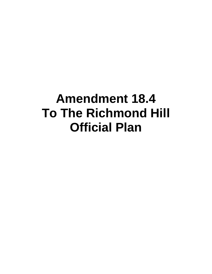# **Amendment 18.4 To The Richmond Hill Official Plan**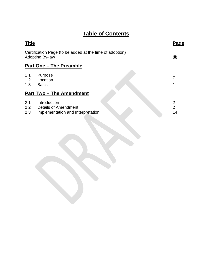# **Table of Contents**

| <b>Title</b>      |                                                                                    | Page                      |  |
|-------------------|------------------------------------------------------------------------------------|---------------------------|--|
|                   | Certification Page (to be added at the time of adoption)<br><b>Adopting By-law</b> | (iii)                     |  |
|                   | <b>Part One – The Preamble</b>                                                     |                           |  |
| 1.1<br>1.2<br>1.3 | Purpose<br>Location<br><b>Basis</b>                                                |                           |  |
|                   | <b>Part Two – The Amendment</b>                                                    |                           |  |
| 2.1<br>2.2<br>2.3 | Introduction<br>Details of Amendment<br>Implementation and Interpretation          | 2<br>$\overline{2}$<br>14 |  |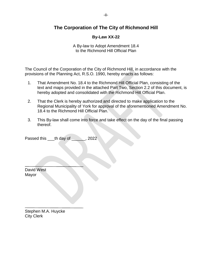# **The Corporation of The City of Richmond Hill**

# **By-Law XX-22**

A By-law to Adopt Amendment 18.4 to the Richmond Hill Official Plan

The Council of the Corporation of the City of Richmond Hill, in accordance with the provisions of the Planning Act, R.S.O. 1990, hereby enacts as follows:

- 1. That Amendment No. 18.4 to the Richmond Hill Official Plan, consisting of the text and maps provided in the attached Part Two, Section 2.2 of this document, is hereby adopted and consolidated with the Richmond Hill Official Plan.
- 2. That the Clerk is hereby authorized and directed to make application to the Regional Municipality of York for approval of the aforementioned Amendment No. 18.4 to the Richmond Hill Official Plan.
- 3. This By-law shall come into force and take effect on the day of the final passing thereof.

Passed this \_\_\_th day of \_\_\_\_\_, 2022

David West Mayor

Stephen M.A. Huycke City Clerk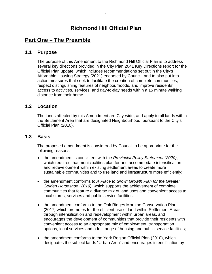# **Part One – The Preamble**

# **1.1 Purpose**

The purpose of this Amendment to the Richmond Hill Official Plan is to address several key directions provided in the City Plan 2041 Key Directions report for the Official Plan update, which includes recommendations set out in the City's Affordable Housing Strategy (2021) endorsed by Council, and to also put into action measures that seek to facilitate the creation of complete communities, respect distinguishing features of neighbourhoods, and improve residents' access to activities, services, and day-to-day needs within a 15 minute walking distance from their home.

# **1.2 Location**

The lands affected by this Amendment are City-wide, and apply to all lands within the Settlement Area that are designated Neighbourhood, pursuant to the City's Official Plan (2010).

# **1.3 Basis**

The proposed amendment is considered by Council to be appropriate for the following reasons:

- the amendment is consistent with the *Provincial Policy Statement (2020)*, which requires that municipalities plan for and accommodate intensification and redevelopment within existing settlement areas to create more sustainable communities and to use land and infrastructure more efficiently;
- the amendment conforms to *A Place to Grow: Growth Plan for the Greater Golden Horseshoe (2019)*, which supports the achievement of complete communities that feature a diverse mix of land uses and convenient access to local stores, services and public service facilities;
- the amendment conforms to the Oak Ridges Moraine Conservation Plan (2017) which promotes for the efficient use of land within Settlement Areas through intensification and redevelopment within urban areas, and encourages the development of communities that provide their residents with convenient access to an appropriate mix of employment, transportation options, local services and a full range of housing and public service facilities;
- the amendment conforms to the York Region Official Plan (2010), which designates the subject lands "Urban Area" and encourages intensification by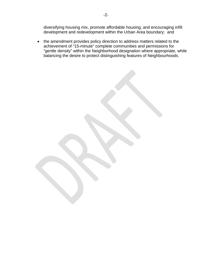diversifying housing mix, promote affordable housing, and encouraging infill development and redevelopment within the Urban Area boundary; and

• the amendment provides policy direction to address matters related to the achievement of "15-minute" complete communities and permissions for "gentle density" within the Neighborhood designation where appropriate, while balancing the desire to protect distinguishing features of Neighbourhoods.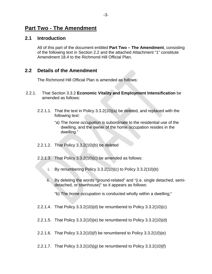# **Part Two - The Amendment**

# **2.1 Introduction**

All of this part of the document entitled **Part Two – The Amendment**, consisting of the following text in Section 2.2 and the attached Attachment "1" constitute Amendment 18.4 to the Richmond Hill Official Plan.

# **2.2 Details of the Amendment**

The Richmond Hill Official Plan is amended as follows:

- 2.2.1. That Section 3.3.2 **Economic Vitality and Employment Intensification** be amended as follows:
	- 2.2.1.1. That the text in Policy 3.3.2(10)(a) be deleted, and replaced with the following text:
		- "a) The *home occupation* is subordinate to the residential use of the dwelling, and the owner of the home occupation resides in the dwelling."
	- 2.2.1.2. That Policy 3.3.2(10)(b) be deleted
	- 2.2.1.3. That Policy 3.3.2(10)(c) be amended as follows:
		- i. By renumbering Policy 3.3.2(10)(c) to Policy 3.3.2(10)(b)
		- ii. By deleting the words "ground-related" and "(i.e. single detached, semidetached, or townhouse)" so it appears as follows:
			- "b) The *home occupation* is conducted wholly within a dwelling;"
	- 2.2.1.4. That Policy 3.3.2(10)(d) be renumbered to Policy 3.3.2(10)(c)
	- 2.2.1.5. That Policy 3.3.2(10)(e) be renumbered to Policy 3.3.2(10)(d)
	- 2.2.1.6. That Policy 3.3.2(10)(f) be renumbered to Policy 3.3.2(10)(e)
	- 2.2.1.7. That Policy 3.3.2(10)(g) be renumbered to Policy 3.3.2(10)(f)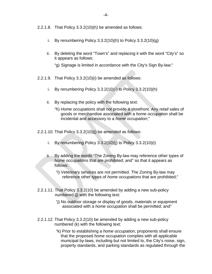- 2.2.1.8. That Policy 3.3.2(10)(h) be amended as follows:
	- i. By renumbering Policy 3.3.2(10)(h) to Policy 3.3.2(10)(g)
	- ii. By deleting the word "Town's" and replacing it with the word "City's" so it appears as follows:

"g) Signage is limited in accordance with the City's Sign By-law;"

- 2.2.1.9. That Policy 3.3.2(10)(i) be amended as follows:
	- i. By renumbering Policy 3.3.2(10)(i) to Policy 3.3.2(10)(h)
	- ii. By replacing the policy with the following text:
		- "h) *Home occupations* shall not provide a storefront. Any *retail* sales of goods or merchandise associated with a *home occupation* shall be incidental and accessory to a *home occupation*;"

2.2.1.10. That Policy 3.3.2(10)(j) be amended as follows:

- i. By renumbering Policy  $3.3.2(10)(i)$  to Policy  $3.3.2(10)(i)$
- ii. By adding the words "The Zoning By-law may reference other types of *home occupations* that are prohibited; and" so that it appears as follows:
	- "i) Veterinary services are not permitted. The Zoning By-law may reference other types of *home occupations* that are prohibited;"
- 2.2.1.11. That Policy 3.3.2(10) be amended by adding a new sub-policy numbered (j) with the following text:
	- "j) No outdoor storage or display of goods, materials or equipment associated with a *home occupation* shall be permitted; and"
- 2.2.1.12. That Policy 3.3.2(10) be amended by adding a new sub-policy numbered (k) with the following text:
	- "k) Prior to establishing a *home occupation*, proponents shall ensure that the proposed *home occupation* complies with all applicable municipal by-laws, including but not limited to, the City's noise, sign, property standards, and parking standards as regulated through the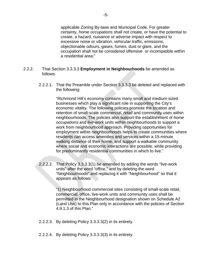applicable Zoning By-laws and Municipal Code. For greater certainty, *home occupations* shall not create, or have the potential to create, a hazard, nuisance or adverse impact with respect to excessive noise or vibration, vehicular traffic, emissions, objectionable odours, gases, fumes, dust or glare, and the occupation shall not be considered offensive or incompatible within a residential area;"

### 2.2.2. That Section 3.3.3.3 **Employment in Neighbourhoods** be amended as follows:

2.2.2.1. That the Preamble under Section 3.3.3.3 be deleted and replaced with the following:

> "Richmond Hill's economy contains many small and medium-sized businesses which play a significant role in supporting the City's economic vitality. The following policies promote the location and retention of small-scale *commercial*, *retail* and community uses within neighbourhoods. The policies also support the establishment of *home occupations* and *live-work units* within neighbourhoods to support a work from neighbourhood approach. Providing opportunities for employment within neighbourhoods helps to create communities where residents can access amenities and services within a 15-minute walking distance of their home, and support a walkable community where social and economic interactions are possible, while providing for predominantly residential communities in which to live."

2.2.2.2. That Policy 3.3.3.3(1) be amended by adding the words "live-work units" after the word "office," and by deleting the word "Neighbourhoods" and replacing it with "Neighbourhood" so that it appears as follows:

> "1) Neighbourhood commercial sites consisting of small-scale retail, commercial, office, live-work units and community uses shall be permitted in the Neighbourhood designation shown on Schedule A2 (Land Use) to this Plan only in accordance with the policies of Section 4.9.1.3 of this Plan."

- 2.2.2.3. By deleting Policy 3.3.3.3(2) in its entirety.
- 2.2.2.4. By deleting Policy 3.3.3.3(3) in its entirety.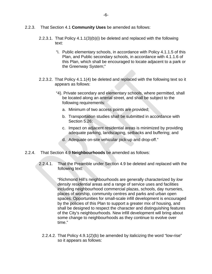- 2.2.3. That Section 4.1 **Community Uses** be amended as follows:
	- 2.2.3.1. That Policy 4.1.1(3)(b)(i) be deleted and replaced with the following text:
		- "i. Public elementary schools, in accordance with Policy 4.1.1.5 of this Plan, and Public secondary schools, in accordance with 4.1.1.6 of this Plan, which shall be encouraged to locate adjacent to a park or the Greenway System;"
	- 2.2.3.2. That Policy 4.1.1(4) be deleted and replaced with the following text so it appears as follows:
		- "4). Private secondary and elementary schools, where permitted, shall be located along an arterial street, and shall be subject to the following requirements:
			- a. Minimum of two access points are provided;
			- b. Transportation studies shall be submitted in accordance with Section 5.26;
			- c. Impact on adjacent residential areas is minimized by providing adequate parking, landscaping, setbacks and buffering; and
			- d. Adequate on-site vehicular pick-up and drop-off."
- 2.2.4. That Section 4.9 **Neighbourhoods** be amended as follows:
	- 2.2.4.1. That the Preamble under Section 4.9 be deleted and replaced with the following text:

"Richmond Hill's neighbourhoods are generally characterized by *low density residential* areas and a range of service uses and facilities including neighbourhood commercial plazas, schools, day nurseries, places of worship, community centres and parks and urban open spaces. Opportunities for small-scale infill development is encouraged by the policies of this Plan to support a greater mix of housing, and shall be designed to respect the character and distinguishing features of the City's neighbourhoods. New infill development will bring about some change to neighbourhoods as they continue to evolve over time."

2.2.4.2. That Policy 4.9.1(2)(b) be amended by italicizing the word "low-rise" so it appears as follows: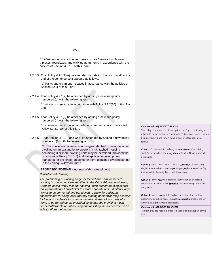-7-

"b) *Medium-density residential* uses such as *low-rise* townhouses, triplexes, fourplexes, and walk-up apartments in accordance with the policies of Section 4.9.1.2 of this Plan;"

2.2.4.3. That Policy 4.9.1(2)(e) be amended by deleting the word "and" at the end of the sentence so it appears as follows:

> "e) Parks and urban open spaces in accordance with the policies of Section 3.4.4 of this Plan;"

2.2.4.4. That Policy 4.9.1(2) be amended by adding a new sub-policy numbered (g) with the following text:

> "g) *Home occupations* in accordance with Policy 3.3.2(10) of this Plan; and"

2.2.4.5. That Policy 4.9.1(2) be amended by adding a new sub-policy numbered (h) with the following text:

> "h) *Live-work units* fronting an arterial street and in accordance with Policy 3.3.3.2(10) of this Plan."

2.2.4.6. That Section 4.9.1 (Land Use) be amended by adding a new policy numbered (6) with the following text:

> "6. The conversion of an existing single-detached or semi-detached dwelling on an existing lot to create a "multi-tached" housing containing 3 or more dwelling units may be permitted, provided the provisions of Policy 3.1.5(5) and the applicable development standards for the single-detached or semi-detached dwelling set out in the Zoning By-law are met."

*PROPOSED SIDEBAR – not part of this amendment*

#### *"Multi-tached Housing:*

*The partitioning of existing single-detached and semi-detached housing is one action item identified in the City's Affordable Housing Strategy, called "multi-tached" housing. Multi-tached housing allows multi-generational households to create separate units. It allows large homes to be converted and partitioned to allow for additional condominium dwelling units, thereby making homeownership possible for low and moderate income households. It also allows parts of a home to be rented out as individual units thereby providing much needed affordable rental housing and assisting the homeowner to be able to afford their home.* 

#### **Commented [A1]:** NOTE TO READER:

This policy represents one of four options the City is considering in relation to the permission of "multi-tached" dwellings. Options that are being considered and for which we are seeking feedback are as follows:

Option 1: Permit multi-tached only as a conversion of an existing single/semi-detached house anywhere within the Neighbourhood designation.

Option 2: Permit multi-tached only as a conversion of an existing single/semi-detached house in **specific geographic** areas of the City that are within the Neighbourhood designation.

Option 3: Permit new multi-tached or conversion of an existing single/semi-detached house anywhere within the Neighbourhood designation.

Option 4: Permit new multi-tached or conversion of an existing single/semi-detached house in specific geographic areas of the City within the Neighbourhood designation.

#### **Commented [A2]:** NOTE TO READER:

The text provided here is a proposed sidebar and is not part of this OPA.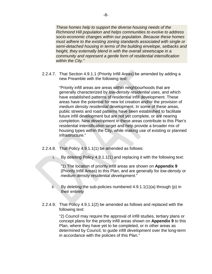*These homes help to support the diverse housing needs of the Richmond Hill population and helps communities to evolve to address socio-economic changes within our population. Because these homes must adhere to the existing zoning standards associated with single or semi-detached housing in terms of the building envelope, setbacks and height, they externally blend in with the overall streetscape in a community and represent a gentle form of residential intensification within the City."*

2.2.4.7. That Section 4.9.1.1 (Priority Infill Areas) be amended by adding a new Preamble with the following text:

> "Priority infill areas are areas within neighbourhoods that are generally characterized by *low-density residential* uses, and which have established patterns of residential infill development. These areas have the potential for new lot creation and/or the provision of *medium density residential* development. In some of these areas, public streets and road patterns have been established to facilitate future infill development but are not yet complete, or are nearing completion. New *development* in these areas contribute to this Plan's residential intensification target and help provide a broader mix of housing types within the City, while making use of existing or planned infrastructure."

- 2.2.4.8. That Policy 4.9.1.1(1) be amended as follows:
	- i. By deleting Policy 4.9.1.1(1) and replacing it with the following text:

"1) The location of priority infill areas are shown on **Appendix 9** (Priority Infill Areas) to this Plan, and are generally for *low-density* or *medium density residential development*."

- ii. By deleting the sub-policies numbered  $4.9.1.1(1)(a)$  through (p) in their entirety
- 2.2.4.9. That Policy 4.9.1.1(2) be amended as follows and replaced with the following text:

"2) Council may require the approval of infill studies, tertiary plans or concept plans for the priority infill areas shown on **Appendix 9** to this Plan, where they have yet to be completed, or in other areas as determined by Council, to guide infill *development* over the long-term in accordance with the policies of this Plan."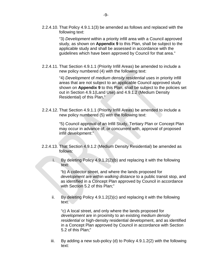2.2.4.10. That Policy 4.9.1.1(3) be amended as follows and replaced with the following text:

> "3) *Development* within a priority infill area with a Council approved study, as shown on **Appendix 9** to this Plan, shall be subject to the applicable study and shall be assessed in accordance with the guidelines which have been approved by Council for that area."

2.2.4.11. That Section 4.9.1.1 (Priority Infill Areas) be amended to include a new policy numbered (4) with the following text:

> "4) *Development* of *medium density residential* uses in priority infill areas that are not subject to an applicable Council approved study shown on **Appendix 9** to this Plan, shall be subject to the policies set out in Section 4.9.1(Land Use) and 4.9.1.2 (Medium Density Residential) of this Plan."

2.2.4.12. That Section 4.9.1.1 (Priority Infill Areas) be amended to include a new policy numbered (5) with the following text:

> "5) Council approval of an Infill Study, Tertiary Plan or Concept Plan may occur in advance of, or concurrent with, approval of proposed infill *development*."

- 2.2.4.13. That Section 4.9.1.2 (Medium Density Residential) be amended as follows:
	- i. By deleting Policy 4.9.1.2(2)(b) and replacing it with the following text:

"b) A collector street, and where the lands proposed for *development* are within *walking distance* to a public transit stop, and as identified in a Concept Plan approved by Council in accordance with Section 5.2 of this Plan;"

ii. By deleting Policy 4.9.1.2(2)(c) and replacing it with the following text:

"c) A local street, and only where the lands proposed for *development* are in proximity to an existing *medium density residential* or high-density residential development, and as identified in a Concept Plan approved by Council in accordance with Section 5.2 of this Plan;"

iii. By adding a new sub-policy (d) to Policy 4.9.1.2(2) with the following text: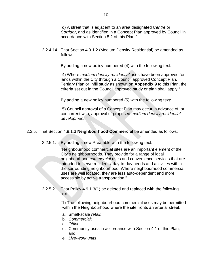"d) A street that is adjacent to an area designated *Centre* or *Corridor*, and as identified in a Concept Plan approved by Council in accordance with Section 5.2 of this Plan."

- 2.2.4.14. That Section 4.9.1.2 (Medium Density Residential) be amended as follows:
	- i. By adding a new policy numbered (4) with the following text:

"4) Where *medium density residential* uses have been approved for lands within the City through a Council approved Concept Plan, Tertiary Plan or Infill study as shown on **Appendix 9** to this Plan, the criteria set out in the Council approved study or plan shall apply."

ii. By adding a new policy numbered (5) with the following text:

"5) Council approval of a Concept Plan may occur in advance of, or concurrent with, approval of proposed *medium density residential development*."

## 2.2.5. That Section 4.9.1.3 **Neighbourhood Commercial** be amended as follows:

2.2.5.1. By adding a new Preamble with the following text:

"Neighbourhood commercial sites are an important element of the City's neighbourhoods. They provide for a range of local neighbourhood *commercial* uses and convenience services that are intended to serve residents' day-to-day needs and activities within the surrounding neighbourhood. Where neighbourhood commercial uses are well located, they are less auto-dependent and more accessible by active transportation."

2.2.5.2. That Policy 4.9.1.3(1) be deleted and replaced with the following text:

> "1) The following neighbourhood commercial uses may be permitted within the Neighbourhood where the site fronts an arterial street:

- a. Small-scale *retail*;
- b. *Commercial*;
- c. *Office*;
- d. Community uses in accordance with Section 4.1 of this Plan; and
- *e. Live-work units*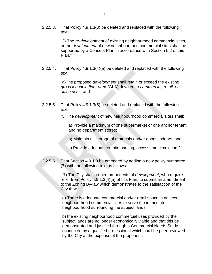2.2.5.3. That Policy 4.9.1.3(3) be deleted and replaced with the following text:

> "3) The re-*development* of existing neighbourhood commercial sites, or the *development* of new neighbourhood commercial sites shall be supported by a Concept Plan in accordance with Section 5.2 of this Plan."

2.2.5.4. That Policy 4.9.1.3(4)(a) be deleted and replaced with the following text:

> "a)The proposed *development* shall retain or exceed the existing *gross leasable floor are*a (GLA) devoted to *commercial, retail, or office uses*; and"

- 2.2.5.5. That Policy 4.9.1.3(5) be deleted and replaced with the following text:
	- "5. The *development* of new neighbourhood commercial sites shall:

a) Provide a maximum of one supermarket or one anchor tenant and no department stores;

- b) Maintain all storage of materials and/or goods indoors; and
- c) Provide adequate on-site parking, access and circulation."
- 2.2.5.6. That Section 4.9.1.3 be amended by adding a new policy numbered (7) with the following text as follows:

"7) The City shall require proponents of *development*, who require relief from Policy 4.9.1.3(4)(a) of this Plan, to submit an amendment to the Zoning By-law which demonstrates to the satisfaction of the City that:

a) There is adequate commercial and/or retail space in adjacent neighbourhood commercial sites to serve the immediate neighbourhood surrounding the subject lands;

b) the existing neighborhood commercial uses provided by the subject lands are no longer economically viable and that this be demonstrated and justified through a Commercial Needs Study conducted by a qualified professional which shall be peer reviewed by the City at the expense of the proponent;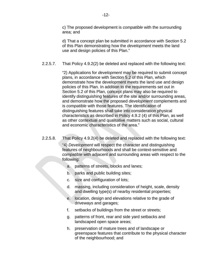c) The proposed development is *compatible* with the surrounding area; and

d) That a concept plan be submitted in accordance with Section 5.2 of this Plan demonstrating how the *development* meets the land use and design policies of this Plan."

### 2.2.5.7. That Policy 4.9.2(2) be deleted and replaced with the following text:

"2) Applications for *development* may be required to submit concept plans, in accordance with Section 5.2 of this Plan, which demonstrate how the development meets the land use and design policies of this Plan. In addition to the requirements set out in Section 5.2 of this Plan, concept plans may also be required to identify distinguishing features of the site and/or surrounding areas, and demonstrate how the proposed *development* complements and is *compatible* with those features. The identification of distinguishing features shall take into consideration physical characteristics as described in Policy 4.9.2 (4) of this Plan, as well as other contextual and qualitative matters such as social, cultural and economic characteristics of the area."

### 2.2.5.8. That Policy 4.9.2(4) be deleted and replaced with the following text:

"4) *Development* will respect the character and distinguishing features of neighbourhoods and shall be context-sensitive and *compatible* with adjacent and surrounding areas with respect to the following:

- a. patterns of streets, blocks and lanes;
- b. parks and public building sites;
- c. size and configuration of lots;
- d. massing, including consideration of height, scale, density and dwelling type(s) of nearby residential properties;
- e. location, design and elevations relative to the grade of driveways and garages;
- f. setbacks of buildings from the street or streets;
- g. patterns of front, rear and side yard setbacks and landscaped open space areas;
- h. preservation of mature trees and of landscape or greenspace features that contribute to the physical character of the neighbourhood; and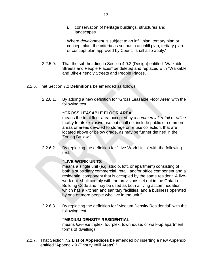i. conservation of heritage buildings, structures and landscapes

Where *development* is subject to an infill plan, tertiary plan or concept plan, the criteria as set out in an infill plan, tertiary plan or concept plan approved by Council shall also apply."

- 2.2.5.9. That the sub-heading in Section 4.9.2 (Design) entitled "Walkable Streets and People Places" be deleted and replaced with "Walkable and Bike-Friendly Streets and People Places."
- 2.2.6. That Section 7.2 **Definitions** be amended as follows:
	- 2.2.6.1. By adding a new definition for "Gross Leasable Floor Area" with the following text:

### **"GROSS LEASABLE FLOOR AREA**

means the total floor area occupied by a *commercial, retail* or *office* facility for its exclusive use but shall not include public or common areas or areas devoted to storage or refuse collection, that are located above or below grade, as may be further defined in the Zoning By-law."

2.2.6.2. By replacing the definition for "Live-Work Units" with the following text:

### **"LIVE-WORK UNITS**

means a single unit (e.g. studio, loft, or apartment) consisting of both a subsidiary commercial, retail, and/or office component and a residential component that is occupied by the same resident. A livework unit shall comply with the provisions set out in the Ontario Building Code and may be used as both a living accommodation, which has a kitchen and sanitary facilities, and a business operated by one or more people who live in the unit."

2.2.6.3. By replacing the definition for "Medium Density Residential" with the following text:

### **"MEDIUM DENSITY RESIDENTIAL**

means *low-rise* triplex, fourplex, townhouse, or walk-up apartment forms of dwellings."

2.2.7. That Section 7.2 **List of Appendices** be amended by inserting a new Appendix entitled "Appendix 9 (Priority Infill Areas)."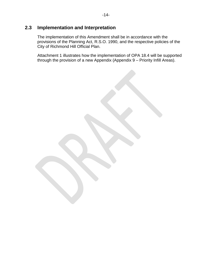# **2.3 Implementation and Interpretation**

The implementation of this Amendment shall be in accordance with the provisions of the Planning Act, R.S.O. 1990, and the respective policies of the City of Richmond Hill Official Plan.

Attachment 1 illustrates how the implementation of OPA 18.4 will be supported through the provision of a new Appendix (Appendix 9 – Priority Infill Areas).